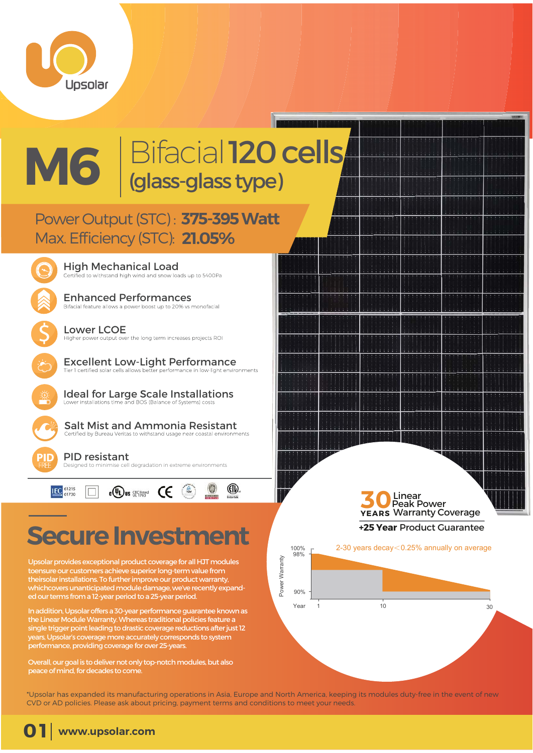

 $\overline{\mathsf{S}}$ 

## Bifacial 120 cells (glass-glass type) **M6**

## Power Output (STC): 375-395 Watt **21.05%** Max. Efficiency (STC):

**High Mechanical Load**<br>Certified to withstand high wind and snow loads up to 5400Pa

Enhanced Performances<br>Bifacial feature allows a power boost up to 20% vs monofacial

Lower LCOE<br>Higher power output over the long term increases projects ROI

Excellent Low-Light Performance<br>Tier I certified solar cells allows better performance in low-light environments

Ideal for Large Scale Installations

Salt Mist and Ammonia Resistant<br>Certified by Bureau Veritas to withstand usage near coastal environments

PID resistant Designed to minimise cell degradation in extreme environments



## **Secure Investment**

Upsolar provides exceptional product coverage for all HJT modules toensure our customers achieve superior long-term value from theirsolar installations. To further improve our product warranty, whichcovers unanticipated module damage, we've recently expanded our terms from a 12-year period to a 25-year period.

In addition, Upsolar offers a 30-year performance guarantee known as the Linear Module Warranty. Whereas traditional policies feature a single trigger point leading to drastic coverage reductions after just 12 years, Upsolar's coverage more accurately corresponds to system performance, providing coverage for over 25-years.

Overall, our goal is to deliver not only top-notch modules, but also peace of mind, for decades to come.

Linear Peak Power **50** Linear<br>**YEARS** Warranty Coverage **+25 Year** Product Guarantee 100% 98% 2-30 years decay<0.25% annually on average



\*Upsolar has expanded its manufacturing operations in Asia, Europe and North America, keeping its modules duty-free in the event of new CVD or AD policies. Please ask about pricing, payment terms and conditions to meet your needs.